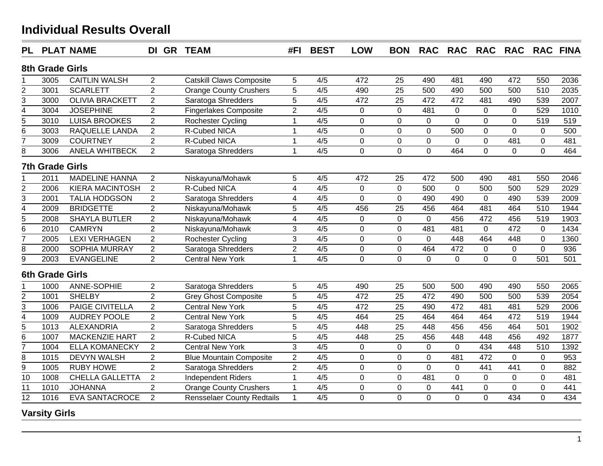| <b>PL</b>      |                        | <b>PLAT NAME</b>       | DI GR TEAM     |                                   | #FI                     | <b>BEST</b>      | <b>LOW</b>     | <b>BON</b>      | <b>RAC</b>     | <b>RAC</b>     | <b>RAC</b>     | <b>RAC</b>       |                  | <b>RAC FINA</b> |
|----------------|------------------------|------------------------|----------------|-----------------------------------|-------------------------|------------------|----------------|-----------------|----------------|----------------|----------------|------------------|------------------|-----------------|
|                | 8th Grade Girls        |                        |                |                                   |                         |                  |                |                 |                |                |                |                  |                  |                 |
|                | 3005                   | <b>CAITLIN WALSH</b>   | 2              | <b>Catskill Claws Composite</b>   | 5                       | 4/5              | 472            | 25              | 490            | 481            | 490            | 472              | 550              | 2036            |
| $\overline{c}$ | 3001                   | <b>SCARLETT</b>        | $\overline{2}$ | <b>Orange County Crushers</b>     | 5                       | 4/5              | 490            | 25              | 500            | 490            | 500            | 500              | 510              | 2035            |
| $\overline{3}$ | 3000                   | <b>OLIVIA BRACKETT</b> | $\overline{2}$ | Saratoga Shredders                | $\overline{5}$          | 4/5              | 472            | 25              | 472            | 472            | 481            | 490              | 539              | 2007            |
|                | 3004                   | <b>JOSEPHINE</b>       | $\overline{2}$ | <b>Fingerlakes Composite</b>      | $\overline{2}$          | 4/5              | $\mathbf 0$    | $\mathbf 0$     | 481            | $\pmb{0}$      | $\mathbf 0$    | $\Omega$         | 529              | 1010            |
| $\frac{4}{5}$  | 3010                   | <b>LUISA BROOKES</b>   | $\overline{2}$ | Rochester Cycling                 | 1                       | 4/5              | $\overline{0}$ | $\overline{0}$  | $\mathbf 0$    | $\overline{0}$ | $\overline{0}$ | $\mathbf 0$      | 519              | 519             |
| $\overline{6}$ | 3003                   | RAQUELLE LANDA         | $\overline{2}$ | R-Cubed NICA                      | $\mathbf{1}$            | 4/5              | $\mathbf 0$    | $\mathbf 0$     | $\mathbf 0$    | 500            | $\mathbf 0$    | $\mathbf{0}$     | $\mathbf 0$      | 500             |
| $\overline{7}$ | 3009                   | <b>COURTNEY</b>        | $\overline{2}$ | R-Cubed NICA                      | $\mathbf{1}$            | 4/5              | $\overline{0}$ | $\mathbf 0$     | $\mathbf 0$    | $\mathbf 0$    | $\mathbf 0$    | 481              | $\mathbf 0$      | 481             |
| 8              | 3006                   | <b>ANELA WHITBECK</b>  | $\overline{2}$ | Saratoga Shredders                | $\overline{1}$          | 4/5              | $\mathbf 0$    | $\mathbf 0$     | $\mathbf 0$    | 464            | $\mathbf 0$    | $\mathbf 0$      | $\overline{0}$   | 464             |
|                | <b>7th Grade Girls</b> |                        |                |                                   |                         |                  |                |                 |                |                |                |                  |                  |                 |
|                | 2011                   | <b>MADELINE HANNA</b>  | 2              | Niskayuna/Mohawk                  | 5                       | 4/5              | 472            | 25              | 472            | 500            | 490            | 481              | 550              | 2046            |
| $\overline{2}$ | 2006                   | <b>KIERA MACINTOSH</b> | 2              | <b>R-Cubed NICA</b>               | $\overline{\mathbf{4}}$ | 4/5              | $\overline{0}$ | $\mathbf 0$     | 500            | $\overline{0}$ | 500            | 500              | 529              | 2029            |
| $\overline{3}$ | 2001                   | <b>TALIA HODGSON</b>   | $\overline{2}$ | Saratoga Shredders                | $\overline{\mathbf{4}}$ | 4/5              | $\mathbf 0$    | $\mathbf 0$     | 490            | 490            | $\mathbf 0$    | 490              | 539              | 2009            |
| $\overline{4}$ | 2009                   | <b>BRIDGETTE</b>       | $\overline{2}$ | Niskayuna/Mohawk                  | 5                       | 4/5              | 456            | 25              | 456            | 464            | 481            | 464              | 510              | 1944            |
| 5              | 2008                   | <b>SHAYLA BUTLER</b>   | $\overline{2}$ | Niskayuna/Mohawk                  | $\overline{\mathbf{4}}$ | 4/5              | $\mathbf 0$    | $\mathbf 0$     | $\mathbf 0$    | 456            | 472            | 456              | 519              | 1903            |
| $\overline{6}$ | 2010                   | <b>CAMRYN</b>          | $\overline{2}$ | Niskayuna/Mohawk                  | 3                       | 4/5              | 0              | $\mathbf 0$     | 481            | 481            | $\mathbf 0$    | 472              | $\mathbf 0$      | 1434            |
| $\overline{7}$ | 2005                   | <b>LEXI VERHAGEN</b>   | $\overline{2}$ | Rochester Cycling                 | $\overline{3}$          | $\overline{4/5}$ | $\overline{0}$ | $\overline{0}$  | $\mathbf 0$    | 448            | 464            | 448              | $\overline{0}$   | 1360            |
| 8              | 2000                   | <b>SOPHIA MURRAY</b>   | $\overline{2}$ | Saratoga Shredders                | $\overline{2}$          | 4/5              | $\overline{0}$ | $\pmb{0}$       | 464            | 472            | $\mathbf 0$    | $\mathbf{0}$     | $\overline{0}$   | 936             |
| $\overline{9}$ | 2003                   | <b>EVANGELINE</b>      | $\overline{2}$ | <b>Central New York</b>           | $\overline{1}$          | 4/5              | $\overline{0}$ | $\overline{0}$  | $\mathbf 0$    | $\mathbf 0$    | $\mathbf 0$    | $\overline{0}$   | 501              | 501             |
|                | <b>6th Grade Girls</b> |                        |                |                                   |                         |                  |                |                 |                |                |                |                  |                  |                 |
|                | 1000                   | ANNE-SOPHIE            | $\overline{2}$ | Saratoga Shredders                | 5                       | 4/5              | 490            | 25              | 500            | 500            | 490            | 490              | 550              | 2065            |
| $\overline{2}$ | 1001                   | <b>SHELBY</b>          | $\overline{2}$ | <b>Grey Ghost Composite</b>       | 5                       | 4/5              | 472            | 25              | 472            | 490            | 500            | 500              | 539              | 2054            |
| $\overline{3}$ | 1006                   | <b>PAIGE CIVITELLA</b> | $\overline{2}$ | <b>Central New York</b>           | 5                       | 4/5              | 472            | $\overline{25}$ | 490            | 472            | 481            | 481              | 529              | 2006            |
| $\overline{4}$ | 1009                   | <b>AUDREY POOLE</b>    | $\overline{2}$ | <b>Central New York</b>           | 5                       | 4/5              | 464            | 25              | 464            | 464            | 464            | 472              | 519              | 1944            |
| $\overline{5}$ | 1013                   | <b>ALEXANDRIA</b>      | $\overline{2}$ | Saratoga Shredders                | $\overline{5}$          | 4/5              | 448            | $\overline{25}$ | 448            | 456            | 456            | 464              | 501              | 1902            |
| 6              | 1007                   | <b>MACKENZIE HART</b>  | $\overline{2}$ | R-Cubed NICA                      | 5                       | 4/5              | 448            | 25              | 456            | 448            | 448            | 456              | 492              | 1877            |
| $\overline{7}$ | 1004                   | <b>ELLA KOMANECKY</b>  | $\overline{2}$ | <b>Central New York</b>           | $\overline{3}$          | $\overline{4/5}$ | $\overline{0}$ | $\overline{0}$  | $\overline{0}$ | $\mathbf 0$    | 434            | $\overline{448}$ | $\overline{510}$ | 1392            |
| 8              | 1015                   | <b>DEVYN WALSH</b>     | $\overline{2}$ | <b>Blue Mountain Composite</b>    | $\overline{2}$          | 4/5              | $\mathbf 0$    | $\pmb{0}$       | $\mathbf 0$    | 481            | 472            | $\mathbf 0$      | $\mathbf 0$      | 953             |
| $\overline{9}$ | 1005                   | <b>RUBY HOWE</b>       | $\overline{2}$ | Saratoga Shredders                | $\overline{2}$          | 4/5              | $\overline{0}$ | $\mathbf 0$     | $\overline{0}$ | $\mathbf 0$    | 441            | 441              | $\overline{0}$   | 882             |
| 10             | 1008                   | <b>CHELLA GALLETTA</b> | $\sqrt{2}$     | <b>Independent Riders</b>         | 1                       | 4/5              | $\mathbf 0$    | $\mathbf 0$     | 481            | $\mathbf 0$    | $\mathbf 0$    | $\mathbf 0$      | $\mathbf 0$      | 481             |
| 11             | 1010                   | <b>JOHANNA</b>         | 2              | <b>Orange County Crushers</b>     | $\mathbf{1}$            | 4/5              | $\mathbf 0$    | $\mathbf 0$     | $\mathbf 0$    | 441            | $\mathbf 0$    | $\mathbf{0}$     | $\overline{0}$   | 441             |
| 12             | 1016                   | <b>EVA SANTACROCE</b>  | $\overline{2}$ | <b>Rensselaer County Redtails</b> | $\mathbf{1}$            | 4/5              | $\overline{0}$ | $\overline{0}$  | $\overline{0}$ | $\mathbf 0$    | $\overline{0}$ | 434              | $\overline{0}$   | 434             |
|                |                        |                        |                |                                   |                         |                  |                |                 |                |                |                |                  |                  |                 |

#### **Varsity Girls**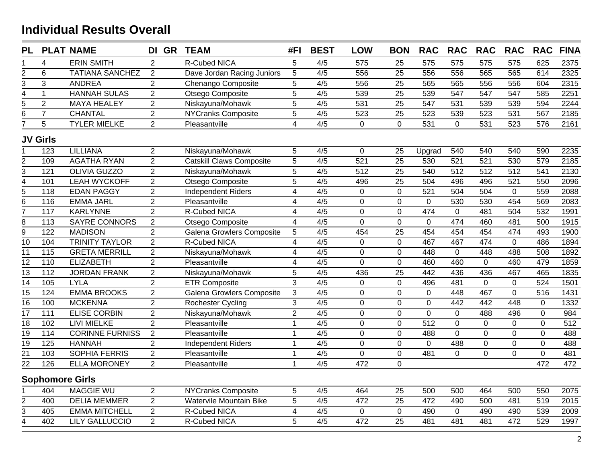| <b>PL</b>       |                  | <b>PLAT NAME</b>       | DI GR TEAM     |                                  | #FI                     | <b>BEST</b>      | <b>LOW</b>       | <b>BON</b>      | <b>RAC</b>       | <b>RAC</b>       | <b>RAC</b>       | <b>RAC</b>       | <b>RAC</b>     | <b>FINA</b>      |
|-----------------|------------------|------------------------|----------------|----------------------------------|-------------------------|------------------|------------------|-----------------|------------------|------------------|------------------|------------------|----------------|------------------|
|                 | $\overline{4}$   | <b>ERIN SMITH</b>      | $\overline{2}$ | R-Cubed NICA                     | 5                       | 4/5              | 575              | 25              | 575              | 575              | 575              | 575              | 625            | 2375             |
|                 | 6                | <b>TATIANA SANCHEZ</b> | $\overline{2}$ | Dave Jordan Racing Juniors       | 5                       | 4/5              | 556              | 25              | 556              | 556              | 565              | 565              | 614            | 2325             |
| $\frac{2}{3}$   | $\overline{3}$   | <b>ANDREA</b>          | $\overline{2}$ | Chenango Composite               | 5                       | 4/5              | 556              | 25              | 565              | 565              | 556              | 556              | 604            | 2315             |
| $\overline{4}$  | $\mathbf{1}$     | <b>HANNAH SULAS</b>    | $\overline{2}$ | Otsego Composite                 | 5                       | 4/5              | 539              | 25              | 539              | 547              | 547              | 547              | 585            | 2251             |
| $\overline{5}$  | $\overline{2}$   | <b>MAYA HEALEY</b>     | $\overline{2}$ | Niskayuna/Mohawk                 | 5                       | 4/5              | 531              | 25              | 547              | 531              | 539              | 539              | 594            | 2244             |
| $\overline{6}$  | $\overline{7}$   | <b>CHANTAL</b>         | $\overline{2}$ | <b>NYCranks Composite</b>        | 5                       | 4/5              | 523              | 25              | 523              | 539              | 523              | 531              | 567            | 2185             |
| $\overline{7}$  | 5                | <b>TYLER MIELKE</b>    | $\overline{2}$ | Pleasantville                    | $\overline{4}$          | 4/5              | $\mathbf 0$      | $\overline{0}$  | 531              | $\mathbf{0}$     | 531              | 523              | 576            | 2161             |
|                 | <b>JV Girls</b>  |                        |                |                                  |                         |                  |                  |                 |                  |                  |                  |                  |                |                  |
| 1               | 123              | <b>LILLIANA</b>        | $\overline{2}$ | Niskayuna/Mohawk                 | 5                       | 4/5              | $\mathbf 0$      | 25              | Upgrad           | 540              | 540              | 540              | 590            | 2235             |
| $\overline{2}$  | 109              | <b>AGATHA RYAN</b>     | $\overline{2}$ | <b>Catskill Claws Composite</b>  | $\overline{5}$          | $\overline{4/5}$ | $\overline{521}$ | $\overline{25}$ | 530              | $\overline{521}$ | $\overline{521}$ | 530              | 579            | 2185             |
| $\overline{3}$  | $\overline{121}$ | <b>OLIVIA GUZZO</b>    | $\overline{2}$ | Niskayuna/Mohawk                 | $\overline{5}$          | 4/5              | 512              | $\overline{25}$ | 540              | 512              | 512              | 512              | 541            | 2130             |
| $\frac{4}{5}$   | 101              | <b>LEAH WYCKOFF</b>    | $\overline{2}$ | Otsego Composite                 | $\overline{5}$          | 4/5              | 496              | $\overline{25}$ | 504              | 496              | 496              | $\overline{521}$ | 550            | 2096             |
|                 | 118              | <b>EDAN PAGGY</b>      | $\overline{2}$ | <b>Independent Riders</b>        | $\overline{4}$          | 4/5              | $\mathbf 0$      | $\mathbf 0$     | 521              | 504              | 504              | $\mathbf 0$      | 559            | 2088             |
| $\overline{6}$  | 116              | <b>EMMA JARL</b>       | $\overline{2}$ | Pleasantville                    | $\overline{\mathbf{4}}$ | 4/5              | $\mathbf 0$      | $\pmb{0}$       | $\pmb{0}$        | 530              | 530              | 454              | 569            | 2083             |
| $\overline{7}$  | 117              | <b>KARLYNNE</b>        | $\overline{2}$ | R-Cubed NICA                     | $\overline{\mathbf{4}}$ | 4/5              | $\mathbf 0$      | $\mathbf 0$     | 474              | $\mathbf 0$      | 481              | 504              | 532            | 1991             |
| $\overline{8}$  | 113              | <b>SAYRE CONNORS</b>   | $\overline{2}$ | Otsego Composite                 | $\overline{4}$          | 4/5              | $\overline{0}$   | $\overline{0}$  | $\overline{0}$   | 474              | 460              | 481              | 500            | 1915             |
| $\overline{9}$  | 122              | <b>MADISON</b>         | $\overline{2}$ | <b>Galena Growlers Composite</b> | $\sqrt{5}$              | 4/5              | 454              | 25              | 454              | 454              | 454              | 474              | 493            | 1900             |
| $\overline{10}$ | 104              | <b>TRINITY TAYLOR</b>  | $\overline{2}$ | <b>R-Cubed NICA</b>              | $\overline{4}$          | 4/5              | $\overline{0}$   | $\overline{0}$  | 467              | 467              | 474              | $\overline{0}$   | 486            | 1894             |
| $\overline{11}$ | 115              | <b>GRETA MERRILL</b>   | $\overline{2}$ | Niskayuna/Mohawk                 | $\overline{\mathbf{4}}$ | 4/5              | $\overline{0}$   | $\overline{0}$  | 448              | $\mathbf{0}$     | 448              | 488              | 508            | 1892             |
| $\overline{12}$ | 110              | <b>ELIZABETH</b>       | $\overline{2}$ | Pleasantville                    | $\overline{\mathbf{4}}$ | 4/5              | $\overline{0}$   | $\mathbf 0$     | 460              | 460              | 0                | 460              | 479            | 1859             |
| $\overline{13}$ | 112              | <b>JORDAN FRANK</b>    | $\overline{2}$ | Niskayuna/Mohawk                 | 5                       | 4/5              | 436              | 25              | 442              | 436              | 436              | 467              | 465            | 1835             |
| $\overline{14}$ | 105              | <b>LYLA</b>            | $\overline{2}$ | <b>ETR Composite</b>             | 3                       | 4/5              | 0                | $\mathbf 0$     | 496              | 481              | 0                | $\mathbf 0$      | 524            | 1501             |
| 15              | 124              | <b>EMMA BROOKS</b>     | $\overline{2}$ | Galena Growlers Composite        | 3                       | 4/5              | $\mathbf 0$      | $\mathbf 0$     | $\mathbf 0$      | 448              | 467              | $\mathbf{0}$     | 516            | 1431             |
| $\overline{16}$ | 100              | <b>MCKENNA</b>         | $\overline{2}$ | Rochester Cycling                | $\overline{3}$          | 4/5              | $\overline{0}$   | $\mathbf 0$     | $\mathbf 0$      | 442              | 442              | 448              | $\mathbf 0$    | 1332             |
| $\overline{17}$ | 111              | <b>ELISE CORBIN</b>    | $\overline{2}$ | Niskayuna/Mohawk                 | $\overline{2}$          | 4/5              | 0                | $\mathbf 0$     | $\mathbf 0$      | $\mathbf 0$      | 488              | 496              | 0              | 984              |
| $\overline{18}$ | 102              | <b>LIVI MIELKE</b>     | $\overline{2}$ | Pleasantville                    | $\mathbf{1}$            | 4/5              | $\overline{0}$   | $\mathbf 0$     | $\overline{512}$ | $\mathbf 0$      | 0                | $\mathbf 0$      | $\overline{0}$ | $\overline{512}$ |
| $\overline{19}$ | 114              | <b>CORINNE FURNISS</b> | $\overline{2}$ | Pleasantville                    | $\mathbf{1}$            | 4/5              | $\overline{0}$   | $\mathbf 0$     | 488              | $\mathbf 0$      | 0                | $\mathbf 0$      | $\overline{0}$ | 488              |
| $\overline{19}$ | $\overline{125}$ | <b>HANNAH</b>          | $\overline{2}$ | <b>Independent Riders</b>        | $\mathbf{1}$            | 4/5              | $\mathbf 0$      | $\mathbf 0$     | $\mathbf 0$      | 488              | 0                | $\pmb{0}$        | 0              | 488              |
| $\overline{21}$ | 103              | <b>SOPHIA FERRIS</b>   | $\overline{2}$ | Pleasantville                    | $\mathbf{1}$            | 4/5              | $\overline{0}$   | $\overline{0}$  | 481              | $\mathbf 0$      | $\overline{0}$   | $\mathbf 0$      | $\overline{0}$ | 481              |
| $\overline{22}$ | 126              | <b>ELLA MORONEY</b>    | $\overline{2}$ | Pleasantville                    | $\mathbf{1}$            | 4/5              | 472              | $\mathbf 0$     |                  |                  |                  |                  | 472            | 472              |
|                 |                  | <b>Sophomore Girls</b> |                |                                  |                         |                  |                  |                 |                  |                  |                  |                  |                |                  |
|                 | 404              | <b>MAGGIE WU</b>       | $\overline{2}$ | <b>NYCranks Composite</b>        | 5                       | 4/5              | 464              | 25              | 500              | 500              | 464              | 500              | 550            | 2075             |
|                 | 400              | <b>DELIA MEMMER</b>    | $\overline{2}$ | Watervile Mountain Bike          | 5                       | 4/5              | 472              | 25              | 472              | 490              | 500              | 481              | 519            | 2015             |
| $\frac{2}{3}$   | 405              | <b>EMMA MITCHELL</b>   | $\overline{2}$ | R-Cubed NICA                     | $\overline{\mathbf{4}}$ | 4/5              | $\mathbf 0$      | $\mathbf 0$     | 490              | $\mathbf{0}$     | 490              | 490              | 539            | 2009             |
| $\overline{4}$  | 402              | <b>LILY GALLUCCIO</b>  | $\overline{2}$ | R-Cubed NICA                     | 5                       | 4/5              | 472              | 25              | 481              | 481              | 481              | 472              | 529            | 1997             |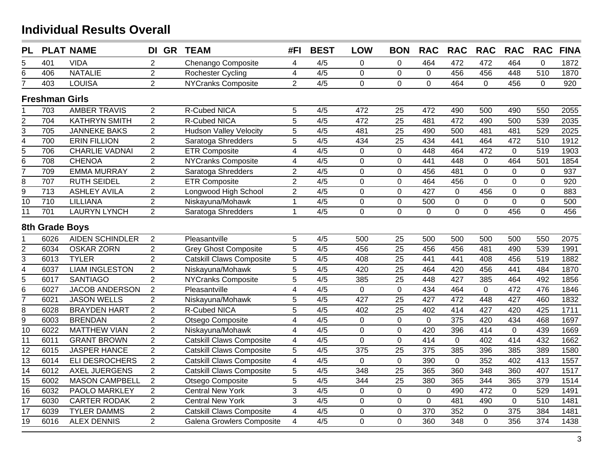| <b>PL</b>                   |                       | <b>PLAT NAME</b>       | DI GR          | <b>TEAM</b>                     | #FI                     | <b>BEST</b>      | <b>LOW</b>       | <b>BON</b>       | <b>RAC</b>     | <b>RAC</b>     | <b>RAC</b>       | <b>RAC</b>       | <b>RAC</b>       | <b>FINA</b> |
|-----------------------------|-----------------------|------------------------|----------------|---------------------------------|-------------------------|------------------|------------------|------------------|----------------|----------------|------------------|------------------|------------------|-------------|
| 5                           | 401                   | <b>VIDA</b>            | $\overline{2}$ | Chenango Composite              | 4                       | 4/5              | 0                | 0                | 464            | 472            | 472              | 464              | $\Omega$         | 1872        |
| $\overline{6}$              | 406                   | <b>NATALIE</b>         | $\overline{2}$ | Rochester Cycling               | $\overline{\mathbf{4}}$ | $\overline{4/5}$ | $\overline{0}$   | $\overline{0}$   | $\mathbf 0$    | 456            | 456              | 448              | $\overline{510}$ | 1870        |
| 7                           | 403                   | <b>LOUISA</b>          | $\overline{2}$ | <b>NYCranks Composite</b>       | $\overline{2}$          | 4/5              | $\overline{0}$   | $\mathbf 0$      | $\overline{0}$ | 464            | $\mathbf 0$      | 456              | $\Omega$         | 920         |
|                             | <b>Freshman Girls</b> |                        |                |                                 |                         |                  |                  |                  |                |                |                  |                  |                  |             |
|                             | 703                   | <b>AMBER TRAVIS</b>    | $\overline{2}$ | R-Cubed NICA                    | 5                       | 4/5              | 472              | 25               | 472            | 490            | 500              | 490              | 550              | 2055        |
|                             | $\overline{704}$      | <b>KATHRYN SMITH</b>   | $\overline{2}$ | R-Cubed NICA                    | $\overline{5}$          | 4/5              | 472              | $\overline{25}$  | 481            | 472            | 490              | 500              | 539              | 2035        |
| $\frac{2}{3}$               | 705                   | <b>JANNEKE BAKS</b>    | $\overline{2}$ | <b>Hudson Valley Velocity</b>   | $\overline{5}$          | 4/5              | 481              | 25               | 490            | 500            | 481              | 481              | 529              | 2025        |
|                             | 700                   | <b>ERIN FILLION</b>    | $\overline{2}$ | Saratoga Shredders              | $\overline{5}$          | 4/5              | 434              | $\overline{25}$  | 434            | 441            | 464              | 472              | $\overline{510}$ | 1912        |
| $\frac{4}{5}$ $\frac{1}{6}$ | 706                   | <b>CHARLIE VADNAI</b>  | $\overline{2}$ | <b>ETR Composite</b>            | $\overline{4}$          | 4/5              | 0                | $\mathbf 0$      | 448            | 464            | 472              | $\mathbf 0$      | 519              | 1903        |
|                             | 708                   | <b>CHENOA</b>          | $\overline{2}$ | <b>NYCranks Composite</b>       | $\overline{\mathbf{4}}$ | 4/5              | $\mathbf 0$      | $\mathbf 0$      | 441            | 448            | $\mathbf 0$      | 464              | 501              | 1854        |
| $\overline{7}$              | 709                   | <b>EMMA MURRAY</b>     | $\overline{2}$ | Saratoga Shredders              | $\overline{2}$          | 4/5              | $\mathbf 0$      | $\mathbf 0$      | 456            | 481            | $\mathbf 0$      | $\mathbf 0$      | $\mathbf 0$      | 937         |
| $\overline{8}$              | 707                   | <b>RUTH SEIDEL</b>     | $\overline{2}$ | <b>ETR Composite</b>            | $\overline{2}$          | $\overline{4/5}$ | $\mathbf 0$      | $\mathbf 0$      | 464            | 456            | $\overline{0}$   | $\mathbf 0$      | $\mathbf{0}$     | 920         |
| $\overline{9}$              | 713                   | <b>ASHLEY AVILA</b>    | $\overline{2}$ | Longwood High School            | $\overline{2}$          | 4/5              | $\overline{0}$   | $\mathbf 0$      | 427            | $\mathbf 0$    | 456              | $\mathbf 0$      | $\overline{0}$   | 883         |
| $\overline{10}$             | 710                   | LILLIANA               | $\overline{2}$ | Niskayuna/Mohawk                | $\mathbf{1}$            | 4/5              | $\mathbf 0$      | $\mathbf 0$      | 500            | $\mathbf 0$    | $\boldsymbol{0}$ | $\mathbf 0$      | $\mathbf{0}$     | 500         |
| 11                          | 701                   | <b>LAURYN LYNCH</b>    | $\overline{2}$ | Saratoga Shredders              | $\mathbf{1}$            | 4/5              | $\overline{0}$   | $\overline{0}$   | $\Omega$       | $\overline{0}$ | $\overline{0}$   | 456              | $\mathbf{0}$     | 456         |
|                             | 8th Grade Boys        |                        |                |                                 |                         |                  |                  |                  |                |                |                  |                  |                  |             |
|                             | 6026                  | <b>AIDEN SCHINDLER</b> | $\overline{2}$ | Pleasantville                   | 5                       | 4/5              | 500              | 25               | 500            | 500            | 500              | 500              | 550              | 2075        |
| $\overline{c}$              | 6034                  | <b>OSKAR ZORN</b>      | $\overline{2}$ | <b>Grey Ghost Composite</b>     | $\overline{5}$          | 4/5              | 456              | $\overline{25}$  | 456            | 456            | 481              | 490              | 539              | 1991        |
| $\overline{3}$              | 6013                  | <b>TYLER</b>           | $\overline{2}$ | <b>Catskill Claws Composite</b> | 5                       | 4/5              | 408              | 25               | 441            | 441            | 408              | 456              | 519              | 1882        |
| $\overline{4}$              | 6037                  | <b>LIAM INGLESTON</b>  | $\overline{2}$ | Niskayuna/Mohawk                | 5                       | 4/5              | 420              | 25               | 464            | 420            | 456              | 441              | 484              | 1870        |
| $\overline{5}$              | 6017                  | <b>SANTIAGO</b>        | $\overline{2}$ | <b>NYCranks Composite</b>       | 5                       | 4/5              | 385              | 25               | 448            | 427            | 385              | 464              | 492              | 1856        |
| $\overline{6}$              | 6027                  | <b>JACOB ANDERSON</b>  | $\overline{2}$ | Pleasantville                   | 4                       | 4/5              | $\overline{0}$   | $\mathbf 0$      | 434            | 464            | $\mathbf 0$      | 472              | 476              | 1846        |
| $\overline{7}$              | 6021                  | <b>JASON WELLS</b>     | $\overline{2}$ | Niskayuna/Mohawk                | $\overline{5}$          | 4/5              | 427              | $\overline{25}$  | 427            | 472            | 448              | 427              | 460              | 1832        |
| $\overline{8}$              | 6028                  | <b>BRAYDEN HART</b>    | $\overline{2}$ | R-Cubed NICA                    | 5                       | 4/5              | 402              | $\overline{25}$  | 402            | 414            | 427              | 420              | 425              | 1711        |
| $\overline{9}$              | 6003                  | <b>BRENDAN</b>         | $\overline{2}$ | Otsego Composite                | $\overline{\mathbf{4}}$ | 4/5              | 0                | $\boldsymbol{0}$ | $\overline{0}$ | 375            | 420              | 434              | 468              | 1697        |
| $\overline{10}$             | 6022                  | <b>MATTHEW VIAN</b>    | $\overline{2}$ | Niskayuna/Mohawk                | $\overline{4}$          | 4/5              | $\overline{0}$   | $\overline{0}$   | 420            | 396            | 414              | $\pmb{0}$        | 439              | 1669        |
| $\overline{11}$             | 6011                  | <b>GRANT BROWN</b>     | $\overline{2}$ | <b>Catskill Claws Composite</b> | $\overline{\mathbf{4}}$ | 4/5              | $\overline{0}$   | $\overline{0}$   | 414            | $\pmb{0}$      | 402              | 414              | 432              | 1662        |
| $\overline{12}$             | 6015                  | <b>JASPER HANCE</b>    | $\overline{2}$ | <b>Catskill Claws Composite</b> | 5                       | 4/5              | $\overline{375}$ | $\overline{25}$  | 375            | 385            | 396              | 385              | 389              | 1580        |
| $\overline{13}$             | 6014                  | <b>ELI DESROCHERS</b>  | $\overline{2}$ | <b>Catskill Claws Composite</b> | $\overline{\mathbf{4}}$ | 4/5              | $\Omega$         | $\mathbf 0$      | 390            | $\mathbf 0$    | 352              | 402              | 413              | 1557        |
| $\overline{14}$             | 6012                  | <b>AXEL JUERGENS</b>   | $\overline{2}$ | Catskill Claws Composite        | 5                       | 4/5              | 348              | $\overline{25}$  | 365            | 360            | 348              | 360              | 407              | 1517        |
| $\overline{15}$             | 6002                  | <b>MASON CAMPBELL</b>  | $\overline{2}$ | Otsego Composite                | $\overline{5}$          | 4/5              | 344              | 25               | 380            | 365            | 344              | 365              | 379              | 1514        |
| $\overline{16}$             | 6032                  | PAOLO MARKLEY          | $\overline{2}$ | <b>Central New York</b>         | 3                       | 4/5              | 0                | $\mathbf 0$      | $\mathbf 0$    | 490            | 472              | $\pmb{0}$        | 529              | 1491        |
| $\overline{17}$             | 6030                  | <b>CARTER RODAK</b>    | $\overline{2}$ | <b>Central New York</b>         | $\overline{3}$          | 4/5              | $\mathbf 0$      | $\mathbf 0$      | $\pmb{0}$      | 481            | 490              | $\boldsymbol{0}$ | 510              | 1481        |
| $\overline{17}$             | 6039                  | <b>TYLER DAMMS</b>     | $\overline{2}$ | <b>Catskill Claws Composite</b> | $\overline{\mathbf{4}}$ | 4/5              | $\mathbf 0$      | $\mathbf 0$      | 370            | 352            | $\boldsymbol{0}$ | 375              | 384              | 1481        |
| $\overline{19}$             | 6016                  | <b>ALEX DENNIS</b>     | $\overline{2}$ | Galena Growlers Composite       | 4                       | 4/5              | $\mathbf 0$      | $\overline{0}$   | 360            | 348            | 0                | 356              | 374              | 1438        |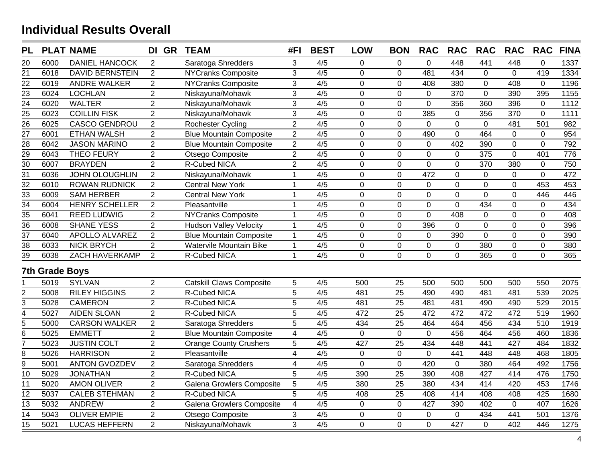| <b>PL</b>                          |                       | <b>PLAT NAME</b>       | DI GR          | <b>TEAM</b>                     | #FI                     | <b>BEST</b>      | <b>LOW</b>     | <b>BON</b>       | <b>RAC</b>     | <b>RAC</b>     | <b>RAC</b>     | <b>RAC</b>     | <b>RAC</b>     | <b>FINA</b> |
|------------------------------------|-----------------------|------------------------|----------------|---------------------------------|-------------------------|------------------|----------------|------------------|----------------|----------------|----------------|----------------|----------------|-------------|
| 20                                 | 6000                  | <b>DANIEL HANCOCK</b>  | 2              | Saratoga Shredders              | 3                       | 4/5              | 0              | 0                | $\overline{0}$ | 448            | 441            | 448            | $\Omega$       | 1337        |
| $\overline{21}$                    | 6018                  | <b>DAVID BERNSTEIN</b> | 2              | <b>NYCranks Composite</b>       | 3                       | $\overline{4/5}$ | $\overline{0}$ | $\overline{0}$   | 481            | 434            | $\overline{0}$ | $\Omega$       | 419            | 1334        |
| $\overline{22}$                    | 6019                  | <b>ANDRE WALKER</b>    | $\overline{2}$ | <b>NYCranks Composite</b>       | 3                       | $\overline{4/5}$ | $\overline{0}$ | $\overline{0}$   | 408            | 380            | 0              | 408            | $\mathbf 0$    | 1196        |
| $\overline{23}$                    | 6024                  | <b>LOCHLAN</b>         | $\overline{2}$ | Niskayuna/Mohawk                | 3                       | 4/5              | $\mathbf 0$    | $\overline{0}$   | $\mathbf 0$    | 370            | $\overline{0}$ | 390            | 395            | 1155        |
| $\overline{24}$                    | 6020                  | <b>WALTER</b>          | $\overline{2}$ | Niskayuna/Mohawk                | 3                       | 4/5              | $\mathbf 0$    | $\mathbf 0$      | 0              | 356            | 360            | 396            | $\mathbf 0$    | 1112        |
| $\frac{25}{26}$                    | 6023                  | <b>COILLIN FISK</b>    | $\overline{2}$ | Niskayuna/Mohawk                | 3                       | 4/5              | $\mathbf 0$    | $\mathbf 0$      | 385            | $\mathbf 0$    | 356            | 370            | $\overline{0}$ | 1111        |
|                                    | 6025                  | <b>CASCO GENDROU</b>   | $\overline{2}$ | Rochester Cycling               | $\overline{2}$          | 4/5              | $\mathbf 0$    | $\mathbf 0$      | $\mathbf 0$    | $\mathbf 0$    | $\mathbf 0$    | 481            | 501            | 982         |
| $\frac{1}{27}$                     | 6001                  | <b>ETHAN WALSH</b>     | $\overline{2}$ | <b>Blue Mountain Composite</b>  | $\overline{2}$          | $\overline{4/5}$ | 0              | $\mathbf 0$      | 490            | $\mathbf 0$    | 464            | $\mathbf 0$    | $\mathbf{0}$   | 954         |
|                                    | 6042                  | <b>JASON MARINO</b>    | $\overline{2}$ | <b>Blue Mountain Composite</b>  | $\overline{2}$          | 4/5              | $\overline{0}$ | $\overline{0}$   | $\mathbf 0$    | 402            | 390            | $\mathbf 0$    | $\Omega$       | 792         |
|                                    | 6043                  | <b>THEO FEURY</b>      | $\overline{2}$ | Otsego Composite                | $\overline{2}$          | 4/5              | $\mathbf 0$    | $\boldsymbol{0}$ | $\pmb{0}$      | $\mathbf 0$    | 375            | $\mathbf 0$    | 401            | 776         |
| $\frac{28}{29}$<br>$\frac{29}{30}$ | 6007                  | <b>BRAYDEN</b>         | $\overline{2}$ | R-Cubed NICA                    | $\overline{2}$          | 4/5              | $\mathbf 0$    | $\pmb{0}$        | $\mathbf 0$    | $\pmb{0}$      | 370            | 380            | 0              | 750         |
| $\overline{31}$                    | 6036                  | <b>JOHN OLOUGHLIN</b>  | 2              | Niskayuna/Mohawk                | $\mathbf{1}$            | 4/5              | $\mathbf 0$    | $\mathbf 0$      | 472            | $\mathbf 0$    | $\mathbf 0$    | $\mathbf 0$    | $\overline{0}$ | 472         |
| $\overline{32}$                    | 6010                  | <b>ROWAN RUDNICK</b>   | 2              | <b>Central New York</b>         | $\mathbf{1}$            | 4/5              | $\overline{0}$ | $\mathbf 0$      | $\mathbf 0$    | $\mathbf 0$    | $\mathbf 0$    | $\mathbf 0$    | 453            | 453         |
| $\frac{33}{34}$                    | 6009                  | <b>SAM HERBER</b>      | $\overline{2}$ | <b>Central New York</b>         | $\mathbf{1}$            | $\overline{4/5}$ | $\mathbf 0$    | $\mathbf 0$      | $\mathbf 0$    | $\mathbf 0$    | $\overline{0}$ | $\overline{0}$ | 446            | 446         |
|                                    | 6004                  | <b>HENRY SCHELLER</b>  | $\overline{c}$ | Pleasantville                   | $\mathbf{1}$            | 4/5              | $\overline{0}$ | $\boldsymbol{0}$ | $\pmb{0}$      | $\overline{0}$ | 434            | $\overline{0}$ | $\mathbf{0}$   | 434         |
| $\overline{35}$                    | 6041                  | <b>REED LUDWIG</b>     | $\overline{2}$ | <b>NYCranks Composite</b>       | $\mathbf{1}$            | 4/5              | $\mathbf 0$    | $\boldsymbol{0}$ | $\pmb{0}$      | 408            | $\mathbf 0$    | $\mathbf 0$    | $\mathbf 0$    | 408         |
| $\frac{1}{36}$                     | 6008                  | <b>SHANE YESS</b>      | $\overline{2}$ | <b>Hudson Valley Velocity</b>   | $\mathbf{1}$            | 4/5              | $\mathbf 0$    | $\pmb{0}$        | 396            | $\mathbf 0$    | $\mathbf 0$    | $\mathbf 0$    | $\mathbf 0$    | 396         |
| $\overline{37}$                    | 6040                  | APOLLO ALVAREZ         | $\overline{2}$ | <b>Blue Mountain Composite</b>  | $\mathbf{1}$            | $\overline{4/5}$ | $\mathbf 0$    | $\mathbf 0$      | $\mathbf 0$    | 390            | $\overline{0}$ | $\mathbf 0$    | $\overline{0}$ | 390         |
| $\overline{38}$                    | 6033                  | <b>NICK BRYCH</b>      | $\overline{2}$ | Watervile Mountain Bike         | $\mathbf{1}$            | 4/5              | 0              | $\mathbf 0$      | $\mathbf 0$    | $\mathsf 0$    | 380            | $\mathbf 0$    | $\overline{0}$ | 380         |
| $\overline{39}$                    | 6038                  | ZACH HAVERKAMP         | $\overline{2}$ | R-Cubed NICA                    | $\mathbf{1}$            | 4/5              | $\overline{0}$ | $\overline{0}$   | $\overline{0}$ | $\overline{0}$ | 365            | $\overline{0}$ | $\Omega$       | 365         |
|                                    | <b>7th Grade Boys</b> |                        |                |                                 |                         |                  |                |                  |                |                |                |                |                |             |
|                                    | 5019                  | <b>SYLVAN</b>          | $\overline{2}$ | <b>Catskill Claws Composite</b> | 5                       | 4/5              | 500            | 25               | 500            | 500            | 500            | 500            | 550            | 2075        |
| $rac{2}{3}$                        | 5008                  | <b>RILEY HIGGINS</b>   | $\overline{2}$ | R-Cubed NICA                    | $\overline{5}$          | 4/5              | 481            | 25               | 490            | 490            | 481            | 481            | 539            | 2025        |
|                                    | 5028                  | <b>CAMERON</b>         | $\overline{2}$ | R-Cubed NICA                    | $\overline{5}$          | 4/5              | 481            | $\overline{25}$  | 481            | 481            | 490            | 490            | 529            | 2015        |
| $\frac{4}{5}$                      | 5027                  | <b>AIDEN SLOAN</b>     | $\overline{2}$ | R-Cubed NICA                    | $\overline{5}$          | 4/5              | 472            | 25               | 472            | 472            | 472            | 472            | 519            | 1960        |
|                                    | 5000                  | <b>CARSON WALKER</b>   | $\overline{2}$ | Saratoga Shredders              | $\overline{5}$          | 4/5              | 434            | $\overline{25}$  | 464            | 464            | 456            | 434            | 510            | 1919        |
| $\overline{6}$                     | 5025                  | <b>EMMETT</b>          | $\overline{2}$ | <b>Blue Mountain Composite</b>  | $\overline{4}$          | 4/5              | $\mathbf 0$    | $\mathbf{0}$     | $\mathbf 0$    | 456            | 464            | 456            | 460            | 1836        |
| 7                                  | 5023                  | <b>JUSTIN COLT</b>     | $\overline{2}$ | <b>Orange County Crushers</b>   | $\overline{5}$          | 4/5              | 427            | $\overline{25}$  | 434            | 448            | 441            | 427            | 484            | 1832        |
| 8                                  | 5026                  | <b>HARRISON</b>        | $\overline{2}$ | Pleasantville                   | $\overline{\mathbf{4}}$ | 4/5              | $\mathbf 0$    | $\mathbf 0$      | $\mathbf 0$    | 441            | 448            | 448            | 468            | 1805        |
| $\overline{9}$                     | 5001                  | <b>ANTON GVOZDEV</b>   | $\overline{2}$ | Saratoga Shredders              | 4                       | 4/5              | $\overline{0}$ | $\mathbf 0$      | 420            | $\mathbf 0$    | 380            | 464            | 492            | 1756        |
| 10                                 | 5029                  | <b>JONATHAN</b>        | $\overline{2}$ | R-Cubed NICA                    | $\overline{5}$          | 4/5              | 390            | 25               | 390            | 408            | 427            | 414            | 476            | 1750        |
| $\overline{11}$                    | 5020                  | <b>AMON OLIVER</b>     | $\overline{2}$ | Galena Growlers Composite       | 5                       | 4/5              | 380            | $\overline{25}$  | 380            | 434            | 414            | 420            | 453            | 1746        |
| 12                                 | 5037                  | <b>CALEB STEHMAN</b>   | $\overline{2}$ | R-Cubed NICA                    | 5                       | 4/5              | 408            | 25               | 408            | 414            | 408            | 408            | 425            | 1680        |
| $\overline{13}$                    | 5032                  | <b>ANDREW</b>          | $\overline{2}$ | Galena Growlers Composite       | $\overline{\mathbf{4}}$ | 4/5              | $\mathbf 0$    | $\mathbf 0$      | 427            | 390            | 402            | $\mathbf 0$    | 407            | 1626        |
| 14                                 | 5043                  | <b>OLIVER EMPIE</b>    | $\overline{2}$ | Otsego Composite                | 3                       | 4/5              | $\mathbf 0$    | $\mathbf 0$      | $\mathbf 0$    | $\mathbf 0$    | 434            | 441            | 501            | 1376        |
| $\overline{15}$                    | 5021                  | <b>LUCAS HEFFERN</b>   | $\overline{2}$ | Niskayuna/Mohawk                | $\overline{3}$          | 4/5              | $\overline{0}$ | $\overline{0}$   | $\overline{0}$ | 427            | $\overline{0}$ | 402            | 446            | 1275        |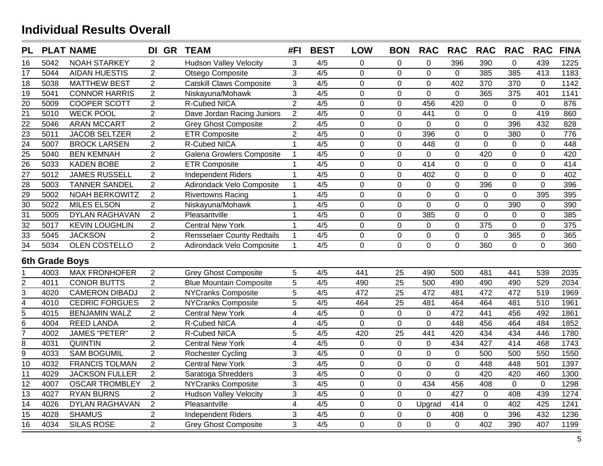| <b>PL</b>                           |                | <b>PLAT NAME</b>      | DI GR          | <b>TEAM</b>                       | #FI                     | <b>BEST</b>      | <b>LOW</b>     | <b>BON</b>       | <b>RAC</b>     | <b>RAC</b>     | <b>RAC</b>     | <b>RAC</b>     | <b>RAC</b>     | <b>FINA</b> |
|-------------------------------------|----------------|-----------------------|----------------|-----------------------------------|-------------------------|------------------|----------------|------------------|----------------|----------------|----------------|----------------|----------------|-------------|
| 16                                  | 5042           | <b>NOAH STARKEY</b>   | $\overline{2}$ | <b>Hudson Valley Velocity</b>     | 3                       | 4/5              | 0              | 0                | 0              | 396            | 390            | $\overline{0}$ | 439            | 1225        |
| 17                                  | 5044           | <b>AIDAN HUESTIS</b>  | $\overline{2}$ | Otsego Composite                  | 3                       | $\overline{4/5}$ | $\mathbf 0$    | $\overline{0}$   | $\mathbf 0$    | $\mathbf 0$    | 385            | 385            | 413            | 1183        |
| 18                                  | 5038           | <b>MATTHEW BEST</b>   | $\overline{2}$ | <b>Catskill Claws Composite</b>   | $\mathfrak{S}$          | 4/5              | $\mathbf 0$    | $\mathbf 0$      | $\mathbf 0$    | 402            | 370            | 370            | $\Omega$       | 1142        |
| $\overline{19}$                     | 5041           | <b>CONNOR HARRIS</b>  | $\overline{2}$ | Niskayuna/Mohawk                  | $\overline{3}$          | 4/5              | $\overline{0}$ | $\mathbf 0$      | 0              | $\overline{0}$ | 365            | 375            | 401            | 1141        |
| $\overline{20}$                     | 5009           | <b>COOPER SCOTT</b>   | $\overline{2}$ | R-Cubed NICA                      | $\overline{2}$          | 4/5              | $\overline{0}$ | $\mathbf 0$      | 456            | 420            | 0              | $\mathbf{0}$   | $\mathbf{0}$   | 876         |
| $\overline{21}$                     | 5010           | <b>WECK POOL</b>      | $\overline{2}$ | Dave Jordan Racing Juniors        | $\overline{2}$          | 4/5              | $\overline{0}$ | $\mathbf 0$      | 441            | $\mathbf 0$    | 0              | $\mathbf 0$    | 419            | 860         |
| $\overline{22}$                     | 5046           | <b>ARAN MCCART</b>    | $\overline{2}$ | <b>Grey Ghost Composite</b>       | $\overline{2}$          | 4/5              | $\overline{0}$ | $\mathbf 0$      | $\Omega$       | $\mathbf 0$    | 0              | 396            | 432            | 828         |
| $\overline{23}$                     | 5011           | <b>JACOB SELTZER</b>  | $\overline{2}$ | <b>ETR Composite</b>              | $\overline{2}$          | 4/5              | 0              | $\mathbf 0$      | 396            | $\mathbf 0$    | 0              | 380            | 0              | 776         |
| $\frac{124}{25}$<br>$\frac{25}{26}$ | 5007           | <b>BROCK LARSEN</b>   | $\overline{2}$ | R-Cubed NICA                      | $\mathbf{1}$            | 4/5              | $\overline{0}$ | $\mathbf 0$      | 448            | $\mathbf 0$    | $\overline{0}$ | $\mathbf 0$    | $\overline{0}$ | 448         |
|                                     | 5040           | <b>BEN KEMNAH</b>     | $\overline{2}$ | Galena Growlers Composite         | $\mathbf{1}$            | 4/5              | $\overline{0}$ | $\mathbf 0$      | $\mathbf 0$    | $\overline{0}$ | 420            | $\mathbf 0$    | 0              | 420         |
|                                     | 5033           | <b>KADEN BOBE</b>     | $\overline{c}$ | <b>ETR Composite</b>              | $\mathbf{1}$            | 4/5              | $\mathbf 0$    | $\mathbf 0$      | 414            | $\mathbf 0$    | 0              | 0              | $\mathbf{0}$   | 414         |
| $\overline{27}$                     | 5012           | <b>JAMES RUSSELL</b>  | $\overline{2}$ | <b>Independent Riders</b>         | $\mathbf{1}$            | 4/5              | $\mathbf 0$    | $\mathbf 0$      | 402            | $\pmb{0}$      | $\mathbf 0$    | $\mathbf 0$    | $\Omega$       | 402         |
| $\overline{28}$                     | 5003           | <b>TANNER SANDEL</b>  | $\overline{2}$ | Adirondack Velo Composite         | $\mathbf{1}$            | 4/5              | $\mathbf 0$    | $\mathbf 0$      | $\mathbf 0$    | $\mathbf 0$    | 396            | $\mathbf 0$    | $\overline{0}$ | 396         |
| $\overline{29}$                     | 5002           | <b>NOAH BERKOWITZ</b> | $\overline{2}$ | <b>Rivertowns Racing</b>          | $\mathbf{1}$            | $\overline{4/5}$ | $\mathbf 0$    | $\mathbf 0$      | $\mathbf 0$    | $\mathbf 0$    | $\mathbf 0$    | $\mathbf{0}$   | 395            | 395         |
| $\overline{30}$                     | 5022           | <b>MILES ELSON</b>    | $\overline{2}$ | Niskayuna/Mohawk                  | $\mathbf{1}$            | 4/5              | $\mathbf 0$    | $\mathbf 0$      | $\overline{0}$ | $\mathbf 0$    | $\mathbf 0$    | 390            | $\mathbf{0}$   | 390         |
| $\overline{31}$                     | 5005           | DYLAN RAGHAVAN        | $\overline{c}$ | Pleasantville                     | $\mathbf{1}$            | 4/5              | $\overline{0}$ | $\boldsymbol{0}$ | 385            | $\pmb{0}$      | $\overline{0}$ | $\mathbf 0$    | $\overline{0}$ | 385         |
| $\overline{32}$                     | 5017           | <b>KEVIN LOUGHLIN</b> | $\overline{2}$ | <b>Central New York</b>           | $\mathbf{1}$            | 4/5              | $\mathbf 0$    | $\mathbf 0$      | $\mathbf 0$    | $\pmb{0}$      | 375            | $\pmb{0}$      | $\mathbf 0$    | 375         |
| $\overline{33}$                     | 5045           | <b>JACKSON</b>        | $\overline{2}$ | <b>Rensselaer County Redtails</b> | $\mathbf{1}$            | 4/5              | $\mathbf 0$    | $\mathbf 0$      | $\mathbf 0$    | $\mathbf 0$    | $\mathbf 0$    | 365            | $\mathbf 0$    | 365         |
| $\overline{34}$                     | 5034           | <b>OLEN COSTELLO</b>  | $\overline{2}$ | Adirondack Velo Composite         | $\mathbf{1}$            | 4/5              | $\overline{0}$ | $\overline{0}$   | $\overline{0}$ | $\overline{0}$ | 360            | $\overline{0}$ | $\overline{0}$ | 360         |
|                                     | 6th Grade Boys |                       |                |                                   |                         |                  |                |                  |                |                |                |                |                |             |
|                                     | 4003           | <b>MAX FRONHOFER</b>  | $\overline{2}$ | <b>Grey Ghost Composite</b>       | 5                       | 4/5              | 441            | 25               | 490            | 500            | 481            | 441            | 539            | 2035        |
| $\overline{2}$                      | 4011           | <b>CONOR BUTTS</b>    | $\overline{2}$ | <b>Blue Mountain Composite</b>    | 5                       | 4/5              | 490            | $\overline{25}$  | 500            | 490            | 490            | 490            | 529            | 2034        |
| 3                                   | 4020           | <b>CAMERON DIBADJ</b> | 2              | <b>NYCranks Composite</b>         | 5                       | 4/5              | 472            | 25               | 472            | 481            | 472            | 472            | 519            | 1969        |
| $\overline{4}$                      | 4010           | <b>CEDRIC FORGUES</b> | $\overline{2}$ | <b>NYCranks Composite</b>         | $\overline{5}$          | 4/5              | 464            | $\overline{25}$  | 481            | 464            | 464            | 481            | 510            | 1961        |
| $\overline{5}$                      | 4015           | <b>BENJAMIN WALZ</b>  | $\overline{2}$ | <b>Central New York</b>           | $\overline{\mathbf{4}}$ | 4/5              | $\mathbf 0$    | $\mathbf 0$      | $\mathbf 0$    | 472            | 441            | 456            | 492            | 1861        |
| $\overline{6}$                      | 4004           | <b>REED LANDA</b>     | $\overline{2}$ | R-Cubed NICA                      | $\overline{\mathbf{4}}$ | 4/5              | $\overline{0}$ | $\overline{0}$   | 0              | 448            | 456            | 464            | 484            | 1852        |
| $\overline{7}$                      | 4002           | <b>JAMES "PETER"</b>  | $\overline{2}$ | R-Cubed NICA                      | 5                       | 4/5              | 420            | 25               | 441            | 420            | 434            | 434            | 446            | 1780        |
| $\overline{8}$                      | 4031           | <b>QUINTIN</b>        | $\overline{2}$ | <b>Central New York</b>           | $\overline{\mathbf{4}}$ | 4/5              | $\overline{0}$ | $\mathbf 0$      | $\mathbf 0$    | 434            | 427            | 414            | 468            | 1743        |
| $\overline{9}$                      | 4033           | <b>SAM BOGUMIL</b>    | $\overline{2}$ | Rochester Cycling                 | 3                       | 4/5              | $\mathbf 0$    | $\mathbf 0$      | 0              | $\mathbf 0$    | 500            | 500            | 550            | 1550        |
| $\overline{10}$                     | 4032           | <b>FRANCIS TOLMAN</b> | $\overline{2}$ | <b>Central New York</b>           | 3                       | 4/5              | $\mathbf 0$    | $\overline{0}$   | $\overline{0}$ | $\mathbf 0$    | 448            | 448            | 501            | 1397        |
| 11                                  | 4029           | <b>JACKSON FULLER</b> | $\overline{2}$ | Saratoga Shredders                | 3                       | 4/5              | $\mathbf 0$    | $\mathbf 0$      | $\overline{0}$ | $\mathbf 0$    | 420            | 420            | 460            | 1300        |
| 12                                  | 4007           | <b>OSCAR TROMBLEY</b> | $\overline{2}$ | <b>NYCranks Composite</b>         | 3                       | $\overline{4/5}$ | $\overline{0}$ | $\mathbf 0$      | 434            | 456            | 408            | $\overline{0}$ | $\overline{0}$ | 1298        |
| 13                                  | 4027           | <b>RYAN BURNS</b>     | $\overline{2}$ | <b>Hudson Valley Velocity</b>     | $\overline{3}$          | 4/5              | $\overline{0}$ | $\overline{0}$   | $\overline{0}$ | 427            | $\mathbf 0$    | 408            | 439            | 1274        |
| $\overline{14}$                     | 4026           | DYLAN RAGHAVAN        | $\overline{c}$ | Pleasantville                     | $\overline{\mathbf{4}}$ | 4/5              | $\mathbf 0$    | $\overline{0}$   | Upgrad         | 414            | $\mathbf 0$    | 402            | 425            | 1241        |
| 15                                  | 4028           | <b>SHAMUS</b>         | $\overline{2}$ | <b>Independent Riders</b>         | 3                       | 4/5              | $\pmb{0}$      | $\pmb{0}$        | 0              | 408            | 0              | 396            | 432            | 1236        |
| $\overline{16}$                     | 4034           | <b>SILAS ROSE</b>     | $\overline{2}$ | <b>Grey Ghost Composite</b>       | 3                       | 4/5              | $\overline{0}$ | $\overline{0}$   | $\overline{0}$ | $\mathbf 0$    | 402            | 390            | 407            | 1199        |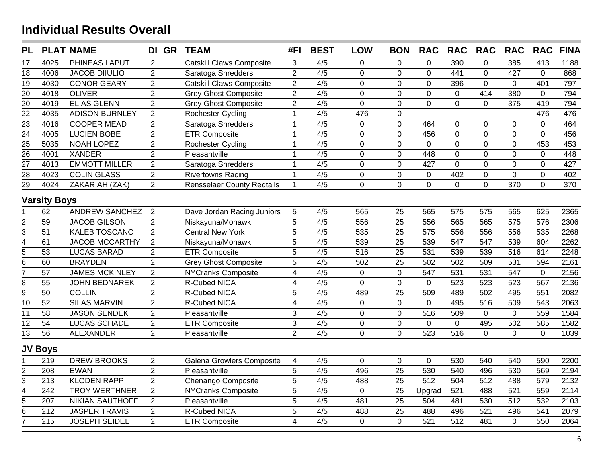| <b>PL</b>                                       |                     | <b>PLAT NAME</b>       | DI GR          | <b>TEAM</b>                       | #FI                     | <b>BEST</b>      | <b>LOW</b>     | <b>BON</b>      | <b>RAC</b>     | <b>RAC</b>     | <b>RAC</b>       | <b>RAC</b>       | <b>RAC</b>     | <b>FINA</b> |
|-------------------------------------------------|---------------------|------------------------|----------------|-----------------------------------|-------------------------|------------------|----------------|-----------------|----------------|----------------|------------------|------------------|----------------|-------------|
| 17                                              | 4025                | PHINEAS LAPUT          | $\overline{2}$ | <b>Catskill Claws Composite</b>   | 3                       | 4/5              | 0              | $\mathbf 0$     | $\mathbf 0$    | 390            | 0                | 385              | 413            | 1188        |
| $\overline{18}$                                 | 4006                | <b>JACOB DIIULIO</b>   | $\overline{2}$ | Saratoga Shredders                | $\overline{2}$          | $\overline{4/5}$ | $\mathbf 0$    | $\mathbf 0$     | $\overline{0}$ | 441            | 0                | 427              | $\Omega$       | 868         |
| $\overline{19}$                                 | 4030                | <b>CONOR GEARY</b>     | $\overline{2}$ | <b>Catskill Claws Composite</b>   | $\overline{2}$          | 4/5              | $\mathbf 0$    | $\mathbf 0$     | $\mathbf 0$    | 396            | 0                | $\mathbf 0$      | 401            | 797         |
| $\overline{20}$                                 | 4018                | <b>OLIVER</b>          | $\overline{2}$ | <b>Grey Ghost Composite</b>       | $\overline{2}$          | 4/5              | $\overline{0}$ | $\mathbf 0$     | $\mathbf 0$    | $\mathbf 0$    | 414              | 380              | $\mathbf{0}$   | 794         |
| $\overline{20}$                                 | 4019                | <b>ELIAS GLENN</b>     | $\overline{2}$ | <b>Grey Ghost Composite</b>       | $\overline{2}$          | 4/5              | $\overline{0}$ | $\mathbf 0$     | $\overline{0}$ | $\overline{0}$ | $\overline{0}$   | 375              | 419            | 794         |
| $\frac{22}{23}$<br>$\frac{23}{24}$              | 4035                | <b>ADISON BURNLEY</b>  | $\overline{2}$ | Rochester Cycling                 | $\mathbf{1}$            | 4/5              | 476            | $\mathbf 0$     |                |                |                  |                  | 476            | 476         |
|                                                 | 4016                | <b>COOPER MEAD</b>     | $\overline{2}$ | Saratoga Shredders                | $\mathbf{1}$            | 4/5              | $\overline{0}$ | $\mathbf 0$     | 464            | $\mathbf 0$    | $\overline{0}$   | 0                | $\overline{0}$ | 464         |
|                                                 | 4005                | <b>LUCIEN BOBE</b>     | $\overline{2}$ | <b>ETR Composite</b>              | $\mathbf 1$             | 4/5              | $\overline{0}$ | $\mathbf 0$     | 456            | $\overline{0}$ | $\overline{0}$   | 0                | $\overline{0}$ | 456         |
|                                                 | 5035                | <b>NOAH LOPEZ</b>      | $\overline{2}$ | Rochester Cycling                 | $\mathbf 1$             | 4/5              | $\overline{0}$ | $\mathbf 0$     | $\overline{0}$ | $\mathbf 0$    | 0                | $\mathbf 0$      | 453            | 453         |
|                                                 | 4001                | <b>XANDER</b>          | $\overline{2}$ | Pleasantville                     | $\mathbf{1}$            | $\overline{4/5}$ | $\overline{0}$ | $\mathbf 0$     | 448            | $\mathbf 0$    | $\overline{0}$   | $\overline{0}$   | $\overline{0}$ | 448         |
| $\frac{25}{26}$ $\frac{27}{28}$ $\frac{28}{29}$ | 4013                | <b>EMMOTT MILLER</b>   | $\overline{2}$ | Saratoga Shredders                | $\mathbf{1}$            | 4/5              | $\mathbf 0$    | $\mathbf 0$     | 427            | $\mathbf 0$    | 0                | $\mathbf 0$      | $\overline{0}$ | 427         |
|                                                 | 4023                | <b>COLIN GLASS</b>     | $\overline{2}$ | <b>Rivertowns Racing</b>          | $\mathbf{1}$            | 4/5              | $\mathbf 0$    | $\mathbf 0$     | $\mathbf 0$    | 402            | 0                | $\mathbf 0$      | $\overline{0}$ | 402         |
|                                                 | 4024                | ZAKARIAH (ZAK)         | $\overline{2}$ | <b>Rensselaer County Redtails</b> | $\mathbf{1}$            | 4/5              | $\mathbf 0$    | $\mathbf 0$     | $\mathbf 0$    | $\mathsf{O}$   | $\overline{0}$   | 370              | $\overline{0}$ | 370         |
|                                                 | <b>Varsity Boys</b> |                        |                |                                   |                         |                  |                |                 |                |                |                  |                  |                |             |
|                                                 | 62                  | <b>ANDREW SANCHEZ</b>  | $\overline{2}$ | Dave Jordan Racing Juniors        | 5                       | 4/5              | 565            | 25              | 565            | 575            | 575              | 565              | 625            | 2365        |
|                                                 | 59                  | <b>JACOB GILSON</b>    | $\overline{2}$ | Niskayuna/Mohawk                  | 5                       | 4/5              | 556            | $\overline{25}$ | 556            | 565            | 565              | 575              | 576            | 2306        |
| $rac{2}{3}$                                     | 51                  | <b>KALEB TOSCANO</b>   | $\overline{2}$ | <b>Central New York</b>           | 5                       | 4/5              | 535            | 25              | 575            | 556            | 556              | 556              | 535            | 2268        |
| $\overline{4}$                                  | 61                  | <b>JACOB MCCARTHY</b>  | $\overline{2}$ | Niskayuna/Mohawk                  | $\overline{5}$          | 4/5              | 539            | $\overline{25}$ | 539            | 547            | $\overline{547}$ | 539              | 604            | 2262        |
| $\overline{5}$                                  | 53                  | <b>LUCAS BARAD</b>     | $\overline{2}$ | <b>ETR Composite</b>              | $\overline{5}$          | 4/5              | 516            | 25              | 531            | 539            | 539              | 516              | 614            | 2248        |
| $\overline{6}$                                  | 60                  | <b>BRAYDEN</b>         | $\overline{2}$ | <b>Grey Ghost Composite</b>       | $\overline{5}$          | 4/5              | 502            | $\overline{25}$ | 502            | 502            | 509              | $\overline{531}$ | 594            | 2161        |
| 7                                               | 57                  | <b>JAMES MCKINLEY</b>  | $\overline{2}$ | <b>NYCranks Composite</b>         | $\overline{\mathbf{4}}$ | 4/5              | $\mathbf 0$    | $\mathbf 0$     | 547            | 531            | 531              | 547              | $\mathbf 0$    | 2156        |
| 8                                               | 55                  | <b>JOHN BEDNAREK</b>   | $\overline{2}$ | R-Cubed NICA                      | $\overline{\mathbf{4}}$ | 4/5              | $\overline{0}$ | $\mathbf 0$     | $\mathbf 0$    | 523            | 523              | $\overline{523}$ | 567            | 2136        |
| $\overline{9}$                                  | 50                  | <b>COLLIN</b>          | $\overline{2}$ | R-Cubed NICA                      | 5                       | 4/5              | 489            | 25              | 509            | 489            | 502              | 495              | 551            | 2082        |
| $\overline{10}$                                 | $\overline{52}$     | <b>SILAS MARVIN</b>    | $\overline{2}$ | R-Cubed NICA                      | $\overline{4}$          | 4/5              | $\overline{0}$ | $\overline{0}$  | $\overline{0}$ | 495            | $\overline{516}$ | 509              | 543            | 2063        |
| $\overline{11}$                                 | 58                  | <b>JASON SENDEK</b>    | $\overline{2}$ | Pleasantville                     | 3                       | 4/5              | $\overline{0}$ | $\overline{0}$  | 516            | 509            | 0                | $\mathbf{0}$     | 559            | 1584        |
| $\overline{12}$                                 | $\overline{54}$     | <b>LUCAS SCHADE</b>    | $\overline{2}$ | <b>ETR Composite</b>              | 3                       | 4/5              | $\mathbf 0$    | $\mathbf 0$     | $\mathbf 0$    | $\mathbf 0$    | 495              | 502              | 585            | 1582        |
| $\overline{13}$                                 | 56                  | <b>ALEXANDER</b>       | $\overline{2}$ | Pleasantville                     | $\overline{2}$          | 4/5              | $\overline{0}$ | $\mathbf{0}$    | 523            | 516            | $\overline{0}$   | $\overline{0}$   | $\Omega$       | 1039        |
|                                                 | <b>JV Boys</b>      |                        |                |                                   |                         |                  |                |                 |                |                |                  |                  |                |             |
|                                                 | 219                 | <b>DREW BROOKS</b>     | $\overline{2}$ | Galena Growlers Composite         | 4                       | 4/5              | $\mathbf 0$    | $\mathbf 0$     | $\mathbf 0$    | 530            | 540              | 540              | 590            | 2200        |
|                                                 | 208                 | <b>EWAN</b>            | $\overline{2}$ | Pleasantville                     | 5                       | 4/5              | 496            | $\overline{25}$ | 530            | 540            | 496              | 530              | 569            | 2194        |
| $\frac{2}{3}$                                   | 213                 | <b>KLODEN RAPP</b>     | $\overline{2}$ | Chenango Composite                | $\overline{5}$          | 4/5              | 488            | $\overline{25}$ | 512            | 504            | 512              | 488              | 579            | 2132        |
| $\overline{4}$                                  | 242                 | <b>TROY WERTHNER</b>   | $\overline{2}$ | <b>NYCranks Composite</b>         | 5                       | 4/5              | $\overline{0}$ | 25              | Upgrad         | 521            | 488              | 521              | 559            | 2114        |
| $\frac{1}{6}$                                   | 207                 | <b>NIKIAN SAUTHOFF</b> | $\overline{2}$ | Pleasantville                     | 5                       | 4/5              | 481            | 25              | 504            | 481            | 530              | 512              | 532            | 2103        |
|                                                 | 212                 | <b>JASPER TRAVIS</b>   | $\overline{2}$ | R-Cubed NICA                      | 5                       | 4/5              | 488            | 25              | 488            | 496            | 521              | 496              | 541            | 2079        |
| $\overline{7}$                                  | 215                 | <b>JOSEPH SEIDEL</b>   | $\overline{2}$ | <b>ETR Composite</b>              | $\overline{4}$          | 4/5              | $\overline{0}$ | $\overline{0}$  | 521            | 512            | 481              | $\mathbf{0}$     | 550            | 2064        |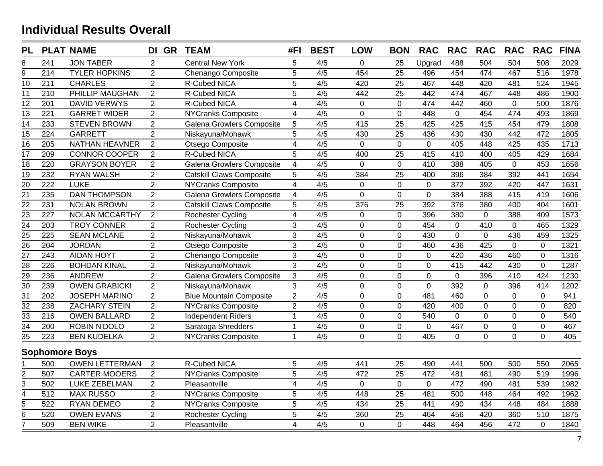| <b>PL</b>                       |                  | <b>PLAT NAME</b>      | DI GR TEAM     |                                  | #FI                     | <b>BEST</b> | <b>LOW</b>     | <b>BON</b>      | <b>RAC</b>  | <b>RAC</b>   | <b>RAC</b>     | <b>RAC</b>     | <b>RAC</b>       | <b>FINA</b> |
|---------------------------------|------------------|-----------------------|----------------|----------------------------------|-------------------------|-------------|----------------|-----------------|-------------|--------------|----------------|----------------|------------------|-------------|
| 8                               | 241              | <b>JON TABER</b>      | 2              | <b>Central New York</b>          | 5                       | 4/5         | $\mathbf 0$    | 25              | Upgrad      | 488          | 504            | 504            | 508              | 2029        |
| $\overline{9}$                  | $\overline{214}$ | <b>TYLER HOPKINS</b>  | $\overline{2}$ | Chenango Composite               | $\overline{5}$          | 4/5         | 454            | $\overline{25}$ | 496         | 454          | 474            | 467            | $\overline{516}$ | 1978        |
| $\overline{10}$                 | 211              | <b>CHARLES</b>        | $\overline{2}$ | R-Cubed NICA                     | 5                       | 4/5         | 420            | 25              | 467         | 448          | 420            | 481            | 524              | 1945        |
| 11                              | 210              | PHILLIP MAUGHAN       | $\overline{2}$ | R-Cubed NICA                     | 5                       | 4/5         | 442            | 25              | 442         | 474          | 467            | 448            | 486              | 1900        |
| 12                              | 201              | <b>DAVID VERWYS</b>   | $\overline{2}$ | R-Cubed NICA                     | $\overline{4}$          | 4/5         | $\overline{0}$ | $\mathbf{0}$    | 474         | 442          | 460            | $\mathbf{0}$   | 500              | 1876        |
| $\overline{13}$                 | $\overline{221}$ | <b>GARRET WIDER</b>   | $\overline{2}$ | <b>NYCranks Composite</b>        | $\overline{4}$          | 4/5         | $\overline{0}$ | $\overline{0}$  | 448         | $\mathbf 0$  | 454            | 474            | 493              | 1869        |
| $\overline{14}$                 | 233              | <b>STEVEN BROWN</b>   | $\overline{2}$ | <b>Galena Growlers Composite</b> | 5                       | 4/5         | 415            | 25              | 425         | 425          | 415            | 454            | 479              | 1808        |
| $\overline{15}$                 | 224              | <b>GARRETT</b>        | $\overline{2}$ | Niskayuna/Mohawk                 | 5                       | 4/5         | 430            | 25              | 436         | 430          | 430            | 442            | 472              | 1805        |
| $\overline{16}$                 | 205              | <b>NATHAN HEAVNER</b> | $\overline{2}$ | Otsego Composite                 | $\overline{\mathbf{4}}$ | 4/5         | $\mathbf 0$    | $\mathbf 0$     | 0           | 405          | 448            | 425            | 435              | 1713        |
| $\overline{17}$                 | $\overline{209}$ | <b>CONNOR COOPER</b>  | $\overline{2}$ | R-Cubed NICA                     | 5                       | 4/5         | 400            | 25              | 415         | 410          | 400            | 405            | 429              | 1684        |
| $\overline{18}$                 | 220              | <b>GRAYSON BOYER</b>  | $\overline{2}$ | <b>Galena Growlers Composite</b> | $\overline{4}$          | 4/5         | $\mathbf 0$    | $\mathbf 0$     | 410         | 388          | 405            | $\mathbf 0$    | 453              | 1656        |
| $\overline{19}$                 | 232              | <b>RYAN WALSH</b>     | $\overline{2}$ | <b>Catskill Claws Composite</b>  | 5                       | 4/5         | 384            | $\overline{25}$ | 400         | 396          | 384            | 392            | 441              | 1654        |
| $\overline{20}$                 | 222              | <b>LUKE</b>           | $\overline{2}$ | <b>NYCranks Composite</b>        | $\overline{4}$          | 4/5         | $\mathbf 0$    | $\mathbf{0}$    | $\mathbf 0$ | 372          | 392            | 420            | 447              | 1631        |
| $\overline{21}$                 | 235              | <b>DAN THOMPSON</b>   | $\overline{c}$ | Galena Growlers Composite        | $\overline{4}$          | 4/5         | $\mathbf 0$    | $\mathbf 0$     | 0           | 384          | 388            | 415            | 419              | 1606        |
| $\overline{22}$                 | 231              | <b>NOLAN BROWN</b>    | $\overline{2}$ | <b>Catskill Claws Composite</b>  | 5                       | 4/5         | 376            | 25              | 392         | 376          | 380            | 400            | 404              | 1601        |
| $\overline{23}$                 | 227              | <b>NOLAN MCCARTHY</b> | 2              | Rochester Cycling                | $\overline{\mathbf{4}}$ | 4/5         | $\mathbf 0$    | $\mathbf 0$     | 396         | 380          | $\mathbf 0$    | 388            | 409              | 1573        |
| $\frac{24}{ }$                  | 203              | <b>TROY CONNER</b>    | $\overline{2}$ | Rochester Cycling                | 3                       | 4/5         | $\mathbf 0$    | $\mathbf 0$     | 454         | $\mathbf 0$  | 410            | $\mathbf 0$    | 465              | 1329        |
|                                 | 225              | <b>SEAN MCLANE</b>    | $\overline{2}$ | Niskayuna/Mohawk                 | 3                       | 4/5         | $\mathbf 0$    | $\mathbf 0$     | 430         | $\mathbf 0$  | $\mathbf 0$    | 436            | 459              | 1325        |
| $\frac{25}{26}$ $\frac{26}{27}$ | 204              | <b>JORDAN</b>         | $\overline{2}$ | Otsego Composite                 | $\mathfrak{S}$          | 4/5         | $\mathbf 0$    | $\mathbf 0$     | 460         | 436          | 425            | $\mathbf 0$    | $\mathbf{0}$     | 1321        |
|                                 | $\overline{243}$ | <b>AIDAN HOYT</b>     | $\overline{2}$ | Chenango Composite               | $\overline{3}$          | 4/5         | $\mathbf 0$    | $\mathbf 0$     | $\mathbf 0$ | 420          | 436            | 460            | $\mathbf{0}$     | 1316        |
| $\overline{28}$                 | 226              | <b>BOHDAN KINAL</b>   | $\overline{2}$ | Niskayuna/Mohawk                 | $\overline{3}$          | 4/5         | $\mathbf 0$    | $\mathbf 0$     | $\mathbf 0$ | 415          | 442            | 430            | $\overline{0}$   | 1287        |
| $\frac{29}{30}$                 | 236              | <b>ANDREW</b>         | $\overline{2}$ | <b>Galena Growlers Composite</b> | $\mathfrak{S}$          | 4/5         | $\mathbf 0$    | $\mathbf 0$     | $\mathbf 0$ | $\mathbf 0$  | 396            | 410            | 424              | 1230        |
|                                 | 239              | <b>OWEN GRABICKI</b>  | $\overline{2}$ | Niskayuna/Mohawk                 | 3                       | 4/5         | $\overline{0}$ | $\mathbf{0}$    | $\mathbf 0$ | 392          | $\overline{0}$ | 396            | 414              | 1202        |
| $\overline{31}$                 | 202              | <b>JOSEPH MARINO</b>  | $\overline{2}$ | <b>Blue Mountain Composite</b>   | $\overline{2}$          | 4/5         | $\overline{0}$ | $\mathbf 0$     | 481         | 460          | $\overline{0}$ | $\mathbf{0}$   | $\overline{0}$   | 941         |
| $\overline{32}$                 | 238              | <b>ZACHARY STEIN</b>  | $\overline{2}$ | <b>NYCranks Composite</b>        | $\overline{2}$          | 4/5         | $\overline{0}$ | $\overline{0}$  | 420         | 400          | $\overline{0}$ | $\mathbf{0}$   | $\overline{0}$   | 820         |
| $\overline{33}$                 | 216              | <b>OWEN BALLARD</b>   | $\overline{c}$ | <b>Independent Riders</b>        | $\mathbf{1}$            | 4/5         | $\mathbf 0$    | $\mathbf 0$     | 540         | $\mathbf 0$  | $\overline{0}$ | $\mathbf 0$    | $\mathbf 0$      | 540         |
| $\overline{34}$                 | 200              | <b>ROBIN N'DOLO</b>   | $\overline{2}$ | Saratoga Shredders               | $\mathbf{1}$            | 4/5         | $\mathsf 0$    | $\pmb{0}$       | 0           | 467          | 0              | $\pmb{0}$      | $\mathbf 0$      | 467         |
| $\overline{35}$                 | 223              | <b>BEN KUDELKA</b>    | 2              | NYCranks Composite               | $\mathbf{1}$            | 4/5         | $\overline{0}$ | $\overline{0}$  | 405         | $\mathbf{0}$ | $\overline{0}$ | $\overline{0}$ | $\overline{0}$   | 405         |
|                                 |                  | <b>Sophomore Boys</b> |                |                                  |                         |             |                |                 |             |              |                |                |                  |             |
|                                 | 500              | <b>OWEN LETTERMAN</b> | $\overline{2}$ | <b>R-Cubed NICA</b>              | 5                       | 4/5         | 441            | 25              | 490         | 441          | 500            | 500            | 550              | 2065        |
| 2                               | 507              | <b>CARTER MOOERS</b>  | $\overline{2}$ | <b>NYCranks Composite</b>        | 5                       | 4/5         | 472            | 25              | 472         | 481          | 481            | 490            | 519              | 1996        |
| $\overline{3}$                  | 502              | <b>LUKE ZEBELMAN</b>  | $\overline{2}$ | Pleasantville                    | $\overline{4}$          | 4/5         | $\mathbf 0$    | $\mathbf{0}$    | $\mathbf 0$ | 472          | 490            | 481            | 539              | 1982        |
| $\overline{4}$                  | 512              | <b>MAX RUSSO</b>      | $\overline{2}$ | NYCranks Composite               | 5                       | 4/5         | 448            | 25              | 481         | 500          | 448            | 464            | 492              | 1962        |
| $\overline{5}$                  | 522              | <b>RYAN DEMEO</b>     | $\overline{2}$ | <b>NYCranks Composite</b>        | $\overline{5}$          | 4/5         | 434            | $\overline{25}$ | 441         | 490          | 434            | 448            | 484              | 1888        |
| $\overline{6}$                  | 520              | <b>OWEN EVANS</b>     | $\overline{2}$ | Rochester Cycling                | 5                       | 4/5         | 360            | 25              | 464         | 456          | 420            | 360            | 510              | 1875        |
| $\overline{7}$                  | 509              | <b>BEN WIKE</b>       | $\overline{2}$ | Pleasantville                    | 4                       | 4/5         | $\mathbf 0$    | 0               | 448         | 464          | 456            | 472            | $\Omega$         | 1840        |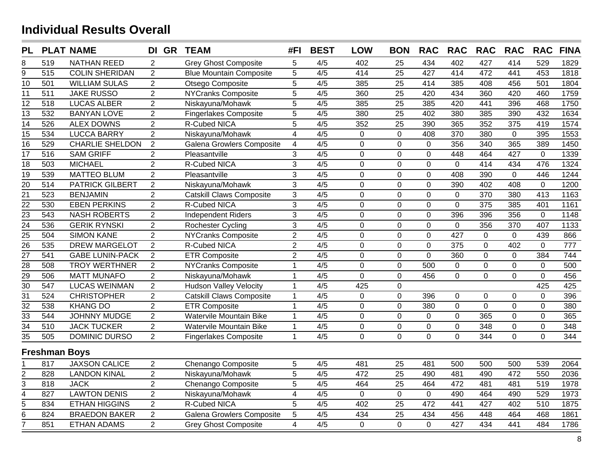| <b>PL</b>                          |                      | <b>PLAT NAME</b>       | DI GR TEAM     |                                 | #FI                     | <b>BEST</b> | <b>LOW</b>     | <b>BON</b>      | <b>RAC</b>     | <b>RAC</b>     | <b>RAC</b>     | <b>RAC</b>     | <b>RAC</b>     | <b>FINA</b> |
|------------------------------------|----------------------|------------------------|----------------|---------------------------------|-------------------------|-------------|----------------|-----------------|----------------|----------------|----------------|----------------|----------------|-------------|
| 8                                  | 519                  | <b>NATHAN REED</b>     | 2              | <b>Grey Ghost Composite</b>     | 5                       | 4/5         | 402            | 25              | 434            | 402            | 427            | 414            | 529            | 1829        |
| 9                                  | $\overline{515}$     | <b>COLIN SHERIDAN</b>  | $\overline{2}$ | <b>Blue Mountain Composite</b>  | $\overline{5}$          | 4/5         | 414            | $\overline{25}$ | 427            | 414            | 472            | 441            | 453            | 1818        |
| 10                                 | 501                  | <b>WILLIAM SULAS</b>   | $\overline{2}$ | Otsego Composite                | 5                       | 4/5         | 385            | 25              | 414            | 385            | 408            | 456            | 501            | 1804        |
| $\overline{11}$                    | $\overline{511}$     | <b>JAKE RUSSO</b>      | $\overline{2}$ | <b>NYCranks Composite</b>       | $\overline{5}$          | 4/5         | 360            | $\overline{25}$ | 420            | 434            | 360            | 420            | 460            | 1759        |
| 12                                 | 518                  | <b>LUCAS ALBER</b>     | $\overline{2}$ | Niskayuna/Mohawk                | 5                       | 4/5         | 385            | 25              | 385            | 420            | 441            | 396            | 468            | 1750        |
| $\overline{13}$                    | 532                  | <b>BANYAN LOVE</b>     | $\overline{2}$ | <b>Fingerlakes Composite</b>    | 5                       | 4/5         | 380            | 25              | 402            | 380            | 385            | 390            | 432            | 1634        |
| $\overline{14}$                    | 526                  | <b>ALEX DOWNS</b>      | $\overline{c}$ | R-Cubed NICA                    | 5                       | 4/5         | 352            | 25              | 390            | 365            | 352            | 375            | 419            | 1574        |
| $\overline{15}$                    | 534                  | <b>LUCCA BARRY</b>     | $\overline{2}$ | Niskayuna/Mohawk                | $\overline{4}$          | 4/5         | $\mathbf 0$    | $\mathbf 0$     | 408            | 370            | 380            | $\mathbf 0$    | 395            | 1553        |
| $\overline{16}$                    | 529                  | <b>CHARLIE SHELDON</b> | $\overline{2}$ | Galena Growlers Composite       | $\overline{4}$          | 4/5         | $\mathbf 0$    | $\mathbf 0$     | $\mathbf 0$    | 356            | 340            | 365            | 389            | 1450        |
| $\overline{17}$                    | 516                  | <b>SAM GRIFF</b>       | $\overline{2}$ | Pleasantville                   | $\mathbf{3}$            | 4/5         | $\overline{0}$ | $\mathbf 0$     | 0              | 448            | 464            | 427            | $\mathbf 0$    | 1339        |
| $\overline{18}$                    | 503                  | <b>MICHAEL</b>         | $\overline{2}$ | R-Cubed NICA                    | $\mathbf{3}$            | 4/5         | $\overline{0}$ | $\mathbf 0$     | $\mathbf 0$    | $\mathbf{0}$   | 414            | 434            | 476            | 1324        |
| $\overline{19}$                    | 539                  | <b>MATTEO BLUM</b>     | $\overline{2}$ | Pleasantville                   | 3                       | 4/5         | $\overline{0}$ | $\mathbf 0$     | 0              | 408            | 390            | $\mathbf 0$    | 446            | 1244        |
| $\overline{20}$                    | 514                  | <b>PATRICK GILBERT</b> | $\overline{2}$ | Niskayuna/Mohawk                | $\overline{3}$          | 4/5         | $\overline{0}$ | $\mathbf 0$     | $\overline{0}$ | 390            | 402            | 408            | $\mathbf{0}$   | 1200        |
| $\overline{21}$                    | 523                  | <b>BENJAMIN</b>        | $\overline{2}$ | <b>Catskill Claws Composite</b> | 3                       | 4/5         | 0              | $\mathbf 0$     | 0              | $\mathbf 0$    | 370            | 380            | 413            | 1163        |
| $\overline{22}$                    | 530                  | <b>EBEN PERKINS</b>    | $\overline{2}$ | R-Cubed NICA                    | 3                       | 4/5         | 0              | $\mathbf 0$     | $\mathbf 0$    | $\mathbf 0$    | 375            | 385            | 401            | 1161        |
| $\overline{23}$                    | $\overline{543}$     | <b>NASH ROBERTS</b>    | $\overline{2}$ | <b>Independent Riders</b>       | 3                       | 4/5         | $\mathbf 0$    | $\mathbf 0$     | $\mathbf 0$    | 396            | 396            | 356            | $\mathbf 0$    | 1148        |
| $\overline{24}$                    | 536                  | <b>GERIK RYNSKI</b>    | $\overline{2}$ | Rochester Cycling               | 3                       | 4/5         | $\overline{0}$ | $\mathbf 0$     | $\overline{0}$ | $\mathbf 0$    | 356            | 370            | 407            | 1133        |
|                                    | 504                  | <b>SIMON KANE</b>      | $\overline{2}$ | <b>NYCranks Composite</b>       | $\overline{2}$          | 4/5         | $\overline{0}$ | $\mathbf 0$     | $\mathbf 0$    | 427            | $\mathbf 0$    | $\mathbf 0$    | 439            | 866         |
| $\frac{25}{26}$<br>$\frac{27}{28}$ | 535                  | <b>DREW MARGELOT</b>   | $\overline{2}$ | R-Cubed NICA                    | $\overline{2}$          | 4/5         | $\overline{0}$ | $\mathbf 0$     | $\mathbf 0$    | 375            | $\mathbf 0$    | 402            | $\mathbf 0$    | 777         |
|                                    | 541                  | <b>GABE LUNIN-PACK</b> | $\overline{2}$ | <b>ETR Composite</b>            | $\overline{2}$          | 4/5         | $\overline{0}$ | $\mathbf{0}$    | $\overline{0}$ | 360            | $\mathbf 0$    | $\mathbf 0$    | 384            | 744         |
|                                    | 508                  | <b>TROY WERTHNER</b>   | $\overline{2}$ | <b>NYCranks Composite</b>       | $\mathbf{1}$            | 4/5         | $\overline{0}$ | $\mathbf 0$     | 500            | $\mathsf 0$    | $\mathbf 0$    | $\overline{0}$ | $\Omega$       | 500         |
| $\frac{1}{29}$ $\frac{29}{30}$     | 506                  | <b>MATT MUNAFO</b>     | $\overline{2}$ | Niskayuna/Mohawk                | $\mathbf{1}$            | 4/5         | $\mathbf 0$    | $\mathbf 0$     | 456            | $\mathbf 0$    | $\overline{0}$ | $\mathbf 0$    | $\mathbf 0$    | 456         |
|                                    | 547                  | <b>LUCAS WEINMAN</b>   | $\overline{2}$ | <b>Hudson Valley Velocity</b>   | $\mathbf 1$             | 4/5         | 425            | $\mathbf 0$     |                |                |                |                | 425            | 425         |
| $\overline{31}$                    | 524                  | <b>CHRISTOPHER</b>     | $\overline{2}$ | <b>Catskill Claws Composite</b> | $\mathbf{1}$            | 4/5         | $\overline{0}$ | $\mathbf 0$     | 396            | $\mathbf 0$    | $\overline{0}$ | $\mathbf 0$    | $\overline{0}$ | 396         |
| $\overline{32}$                    | 538                  | <b>KHANG DO</b>        | $\overline{2}$ | <b>ETR Composite</b>            | $\mathbf{1}$            | 4/5         | $\overline{0}$ | $\mathbf 0$     | 380            | $\mathbf 0$    | $\overline{0}$ | $\mathbf 0$    | $\overline{0}$ | 380         |
| $\overline{33}$                    | 544                  | <b>JOHNNY MUDGE</b>    | $\overline{2}$ | <b>Watervile Mountain Bike</b>  | $\mathbf{1}$            | 4/5         | $\mathbf 0$    | $\mathbf 0$     | $\mathbf 0$    | $\mathbf 0$    | 365            | $\mathbf 0$    | $\overline{0}$ | 365         |
| $\overline{34}$                    | 510                  | <b>JACK TUCKER</b>     | $\overline{2}$ | <b>Watervile Mountain Bike</b>  | $\overline{1}$          | 4/5         | $\overline{0}$ | $\mathbf 0$     | $\overline{0}$ | $\overline{0}$ | 348            | $\overline{0}$ | $\mathbf 0$    | 348         |
| $\overline{35}$                    | 505                  | DOMINIC DURSO          | $\overline{2}$ | <b>Fingerlakes Composite</b>    | $\mathbf{1}$            | 4/5         | $\mathbf 0$    | $\Omega$        | 0              | $\mathbf 0$    | 344            | $\mathbf{0}$   | $\Omega$       | 344         |
|                                    | <b>Freshman Boys</b> |                        |                |                                 |                         |             |                |                 |                |                |                |                |                |             |
|                                    | 817                  | <b>JAXSON CALICE</b>   | $\overline{2}$ | Chenango Composite              | 5                       | 4/5         | 481            | 25              | 481            | 500            | 500            | 500            | 539            | 2064        |
|                                    | 828                  | <b>LANDON KINAL</b>    | $\overline{2}$ | Niskayuna/Mohawk                | 5                       | 4/5         | 472            | 25              | 490            | 481            | 490            | 472            | 550            | 2036        |
| $\frac{2}{3}$                      | 818                  | <b>JACK</b>            | $\overline{2}$ | Chenango Composite              | 5                       | 4/5         | 464            | 25              | 464            | 472            | 481            | 481            | 519            | 1978        |
| $\overline{4}$                     | 827                  | <b>LAWTON DENIS</b>    | $\overline{2}$ | Niskayuna/Mohawk                | $\overline{\mathbf{4}}$ | 4/5         | $\mathbf 0$    | $\mathbf{0}$    | 0              | 490            | 464            | 490            | 529            | 1973        |
| $\overline{5}$                     | 834                  | <b>ETHAN HIGGINS</b>   | $\overline{2}$ | R-Cubed NICA                    | 5                       | 4/5         | 402            | 25              | 472            | 441            | 427            | 402            | 510            | 1875        |
| $\overline{6}$                     | 824                  | <b>BRAEDON BAKER</b>   | $\overline{2}$ | Galena Growlers Composite       | 5                       | 4/5         | 434            | 25              | 434            | 456            | 448            | 464            | 468            | 1861        |
| $\overline{7}$                     | 851                  | <b>ETHAN ADAMS</b>     | $\overline{2}$ | <b>Grey Ghost Composite</b>     | $\overline{\mathbf{4}}$ | 4/5         | $\Omega$       | $\overline{0}$  | 0              | 427            | 434            | 441            | 484            | 1786        |